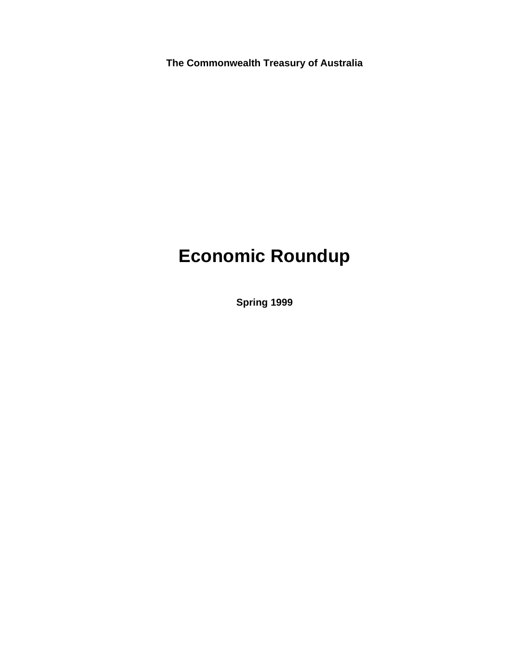**The Commonwealth Treasury of Australia**

# **Economic Roundup**

**Spring 1999**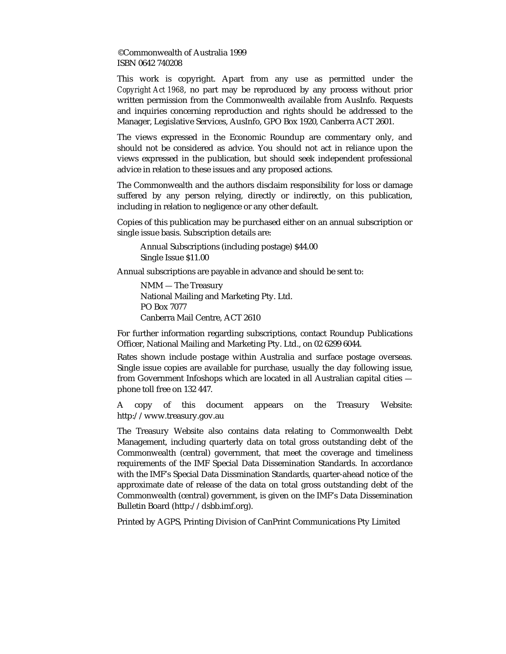©Commonwealth of Australia 1999 ISBN 0642 740208

This work is copyright. Apart from any use as permitted under the *Copyright Act 1968*, no part may be reproduced by any process without prior written permission from the Commonwealth available from AusInfo. Requests and inquiries concerning reproduction and rights should be addressed to the Manager, Legislative Services, AusInfo, GPO Box 1920, Canberra ACT 2601.

The views expressed in the Economic Roundup are commentary only, and should not be considered as advice. You should not act in reliance upon the views expressed in the publication, but should seek independent professional advice in relation to these issues and any proposed actions.

The Commonwealth and the authors disclaim responsibility for loss or damage suffered by any person relying, directly or indirectly, on this publication, including in relation to negligence or any other default.

Copies of this publication may be purchased either on an annual subscription or single issue basis. Subscription details are:

Annual Subscriptions (including postage) \$44.00 Single Issue \$11.00

Annual subscriptions are payable in advance and should be sent to:

NMM — The Treasury National Mailing and Marketing Pty. Ltd. PO Box 7077 Canberra Mail Centre, ACT 2610

For further information regarding subscriptions, contact Roundup Publications Officer, National Mailing and Marketing Pty. Ltd., on 02 6299 6044.

Rates shown include postage within Australia and surface postage overseas. Single issue copies are available for purchase, usually the day following issue, from Government Infoshops which are located in all Australian capital cities phone toll free on 132 447.

A copy of this document appears on the Treasury Website: http://www.treasury.gov.au

The Treasury Website also contains data relating to Commonwealth Debt Management, including quarterly data on total gross outstanding debt of the Commonwealth (central) government, that meet the coverage and timeliness requirements of the IMF Special Data Dissemination Standards. In accordance with the IMF's Special Data Dissmination Standards, quarter-ahead notice of the approximate date of release of the data on total gross outstanding debt of the Commonwealth (central) government, is given on the IMF's Data Dissemination Bulletin Board (http://dsbb.imf.org).

Printed by AGPS, Printing Division of CanPrint Communications Pty Limited